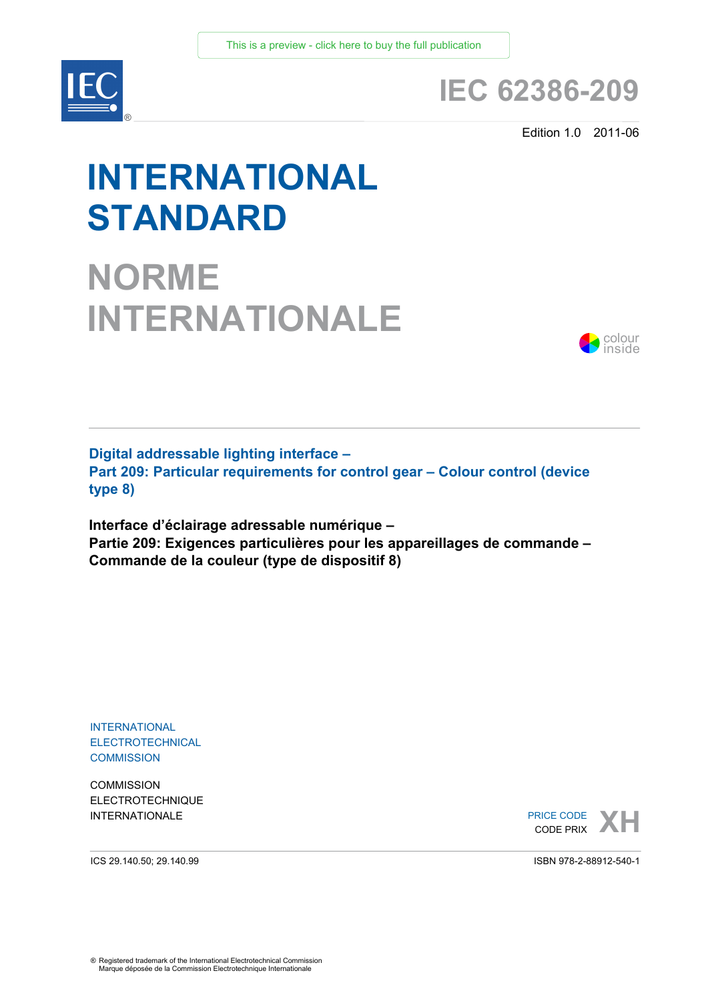

# **IEC 62386-209**

Edition 1.0 2011-06

# **INTERNATIONAL STANDARD**

**NORME INTERNATIONALE**



**Digital addressable lighting interface – Part 209: Particular requirements for control gear – Colour control (device type 8)** 

**Interface d'éclairage adressable numérique – Partie 209: Exigences particulières pour les appareillages de commande – Commande de la couleur (type de dispositif 8)** 

INTERNATIONAL ELECTROTECHNICAL **COMMISSION** 

**COMMISSION** ELECTROTECHNIQUE



ICS 29.140.50; 29.140.99

ISBN 978-2-88912-540-1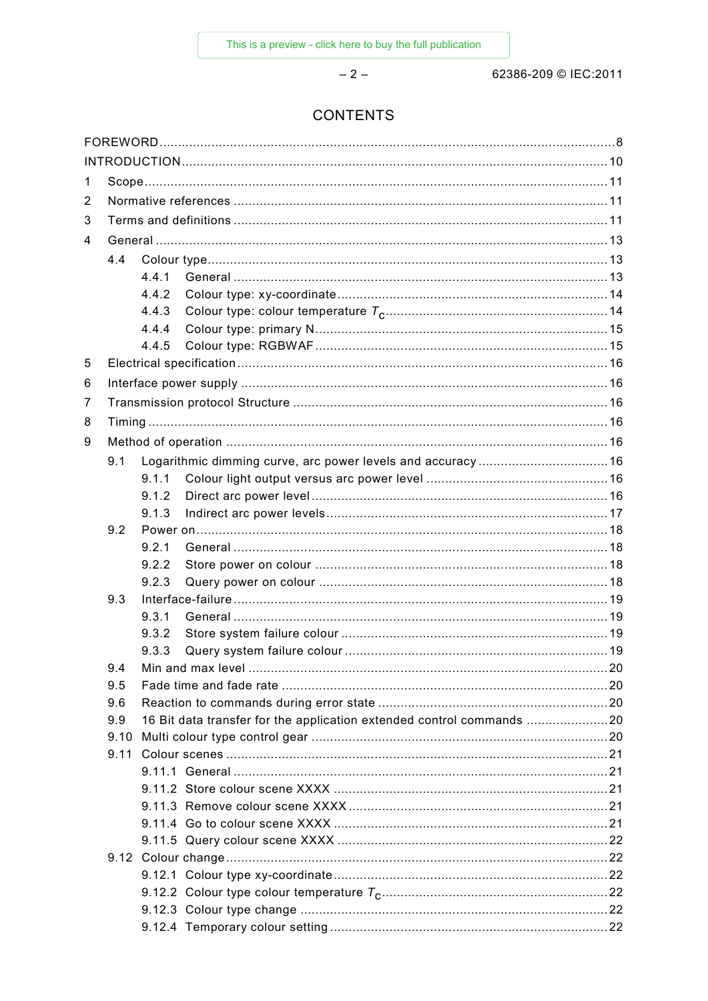$-2-$ 

62386-209 © IEC:2011

# **CONTENTS**

| 1 |            |       |                                                                       |  |
|---|------------|-------|-----------------------------------------------------------------------|--|
| 2 |            |       |                                                                       |  |
| 3 |            |       |                                                                       |  |
| 4 |            |       |                                                                       |  |
|   | 4.4        |       |                                                                       |  |
|   |            | 4.4.1 |                                                                       |  |
|   |            | 4.4.2 |                                                                       |  |
|   |            | 4.4.3 |                                                                       |  |
|   |            | 4.4.4 |                                                                       |  |
|   |            | 4.4.5 |                                                                       |  |
| 5 |            |       |                                                                       |  |
| 6 |            |       |                                                                       |  |
| 7 |            |       |                                                                       |  |
| 8 |            |       |                                                                       |  |
|   |            |       |                                                                       |  |
| 9 |            |       |                                                                       |  |
|   | 9.1        |       |                                                                       |  |
|   |            | 9.1.1 |                                                                       |  |
|   |            | 9.1.2 |                                                                       |  |
|   |            | 9.1.3 |                                                                       |  |
|   | 9.2        |       |                                                                       |  |
|   |            | 9.2.1 |                                                                       |  |
|   |            | 9.2.2 |                                                                       |  |
|   |            | 9.2.3 |                                                                       |  |
|   | 9.3        |       |                                                                       |  |
|   |            | 9.3.1 |                                                                       |  |
|   |            | 9.3.2 |                                                                       |  |
|   |            | 9.3.3 |                                                                       |  |
|   |            |       |                                                                       |  |
|   | 9.5        |       |                                                                       |  |
|   | 9.6<br>9.9 |       |                                                                       |  |
|   | 9.10       |       | 16 Bit data transfer for the application extended control commands 20 |  |
|   | 9.11       |       |                                                                       |  |
|   |            |       |                                                                       |  |
|   |            |       |                                                                       |  |
|   |            |       |                                                                       |  |
|   |            |       |                                                                       |  |
|   |            |       |                                                                       |  |
|   |            |       |                                                                       |  |
|   |            |       |                                                                       |  |
|   |            |       |                                                                       |  |
|   |            |       |                                                                       |  |
|   |            |       |                                                                       |  |
|   |            |       |                                                                       |  |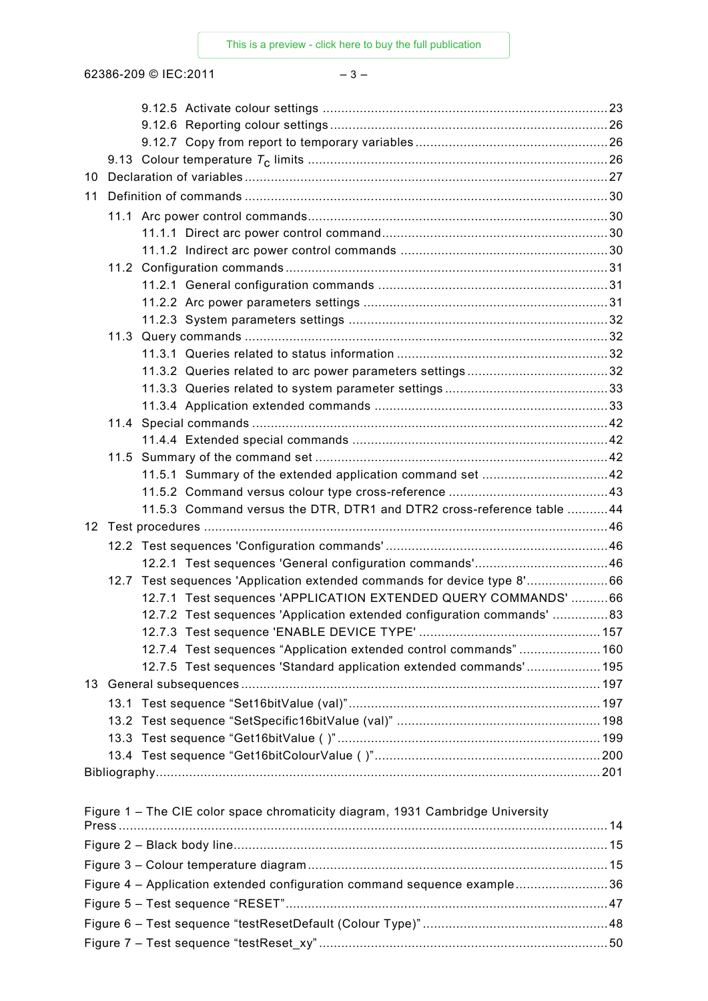62386-209 © IEC:2011 – 3 –

| 11 |                                                                                |  |
|----|--------------------------------------------------------------------------------|--|
|    |                                                                                |  |
|    |                                                                                |  |
|    |                                                                                |  |
|    |                                                                                |  |
|    |                                                                                |  |
|    |                                                                                |  |
|    |                                                                                |  |
|    |                                                                                |  |
|    |                                                                                |  |
|    |                                                                                |  |
|    |                                                                                |  |
|    |                                                                                |  |
|    |                                                                                |  |
|    |                                                                                |  |
|    |                                                                                |  |
|    |                                                                                |  |
|    |                                                                                |  |
|    | 11.5.3 Command versus the DTR, DTR1 and DTR2 cross-reference table 44          |  |
|    |                                                                                |  |
|    |                                                                                |  |
|    |                                                                                |  |
|    | 12.7 Test sequences 'Application extended commands for device type 8'66        |  |
|    | 12.7.1 Test sequences 'APPLICATION EXTENDED QUERY COMMANDS'  66                |  |
|    | 12.7.2 Test sequences 'Application extended configuration commands' 83         |  |
|    |                                                                                |  |
|    | 12.7.4 Test sequences "Application extended control commands"  160             |  |
|    | 12.7.5 Test sequences 'Standard application extended commands' 195             |  |
|    |                                                                                |  |
|    |                                                                                |  |
|    |                                                                                |  |
|    |                                                                                |  |
|    |                                                                                |  |
|    |                                                                                |  |
|    |                                                                                |  |
|    | Figure 1 - The CIE color space chromaticity diagram, 1931 Cambridge University |  |
|    |                                                                                |  |
|    |                                                                                |  |
|    |                                                                                |  |
|    |                                                                                |  |
|    | Figure 4 - Application extended configuration command sequence example36       |  |
|    |                                                                                |  |
|    |                                                                                |  |
|    |                                                                                |  |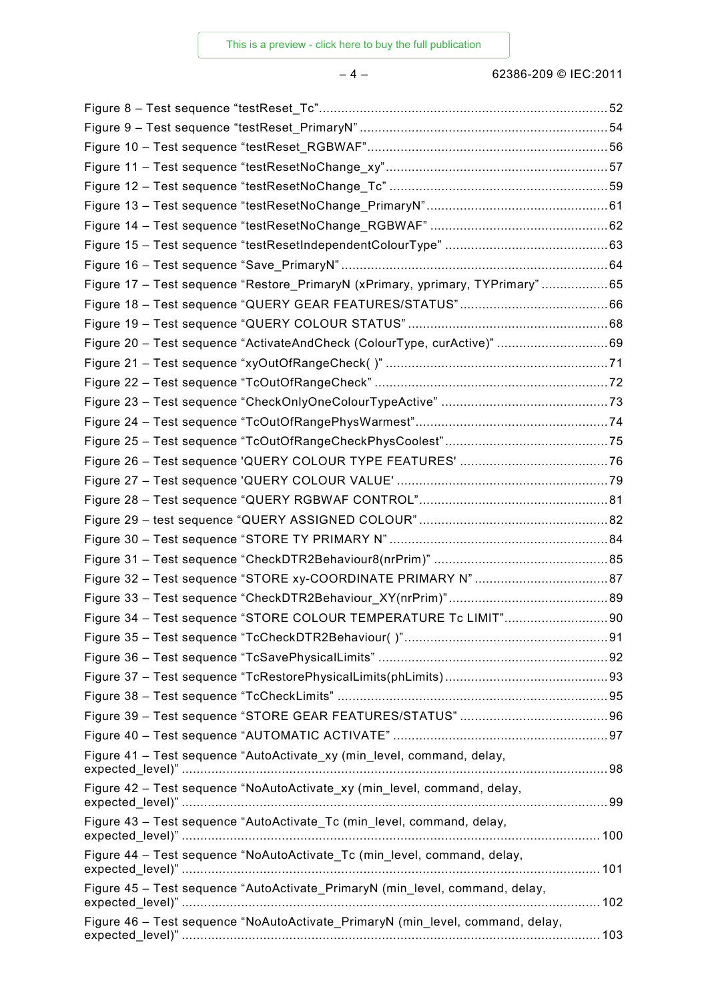| Figure 17 - Test sequence "Restore_PrimaryN (xPrimary, yprimary, TYPrimary" 65 |  |
|--------------------------------------------------------------------------------|--|
|                                                                                |  |
|                                                                                |  |
| Figure 20 - Test sequence "ActivateAndCheck (ColourType, curActive)" 69        |  |
|                                                                                |  |
|                                                                                |  |
|                                                                                |  |
|                                                                                |  |
|                                                                                |  |
|                                                                                |  |
|                                                                                |  |
|                                                                                |  |
|                                                                                |  |
|                                                                                |  |
|                                                                                |  |
|                                                                                |  |
|                                                                                |  |
|                                                                                |  |
|                                                                                |  |
|                                                                                |  |
|                                                                                |  |
|                                                                                |  |
|                                                                                |  |
|                                                                                |  |
| Figure 41 - Test sequence "AutoActivate_xy (min_level, command, delay,         |  |
|                                                                                |  |
| Figure 42 - Test sequence "NoAutoActivate_xy (min_level, command, delay,       |  |
| Figure 43 - Test sequence "AutoActivate_Tc (min_level, command, delay,         |  |
| Figure 44 - Test sequence "NoAutoActivate_Tc (min_level, command, delay,       |  |
| Figure 45 - Test sequence "AutoActivate_PrimaryN (min_level, command, delay,   |  |
| Figure 46 - Test sequence "NoAutoActivate PrimaryN (min level, command, delay, |  |
|                                                                                |  |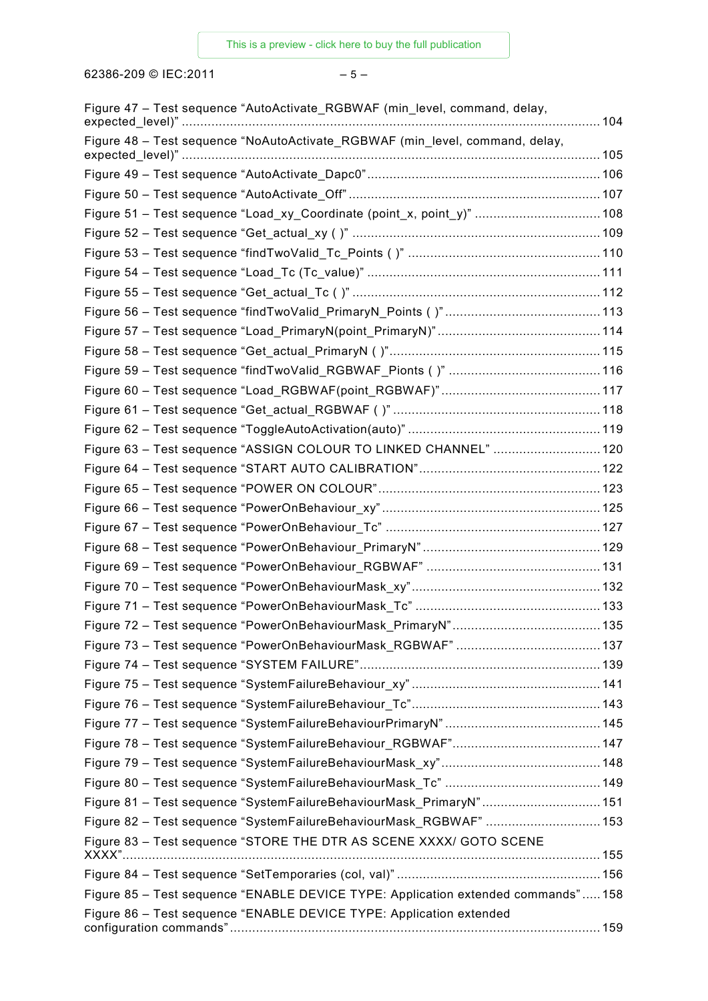62386-209 © IEC:2011 – 5 –

| Figure 47 - Test sequence "AutoActivate_RGBWAF (min_level, command, delay,        |  |
|-----------------------------------------------------------------------------------|--|
| Figure 48 - Test sequence "NoAutoActivate_RGBWAF (min_level, command, delay,      |  |
|                                                                                   |  |
|                                                                                   |  |
| Figure 51 - Test sequence "Load_xy_Coordinate (point_x, point_y)"  108            |  |
|                                                                                   |  |
|                                                                                   |  |
|                                                                                   |  |
|                                                                                   |  |
|                                                                                   |  |
|                                                                                   |  |
|                                                                                   |  |
|                                                                                   |  |
|                                                                                   |  |
|                                                                                   |  |
|                                                                                   |  |
| Figure 63 - Test sequence "ASSIGN COLOUR TO LINKED CHANNEL"  120                  |  |
|                                                                                   |  |
|                                                                                   |  |
|                                                                                   |  |
|                                                                                   |  |
|                                                                                   |  |
|                                                                                   |  |
|                                                                                   |  |
|                                                                                   |  |
|                                                                                   |  |
|                                                                                   |  |
|                                                                                   |  |
|                                                                                   |  |
|                                                                                   |  |
|                                                                                   |  |
|                                                                                   |  |
|                                                                                   |  |
|                                                                                   |  |
| Figure 81 - Test sequence "SystemFailureBehaviourMask_PrimaryN" 151               |  |
| Figure 82 - Test sequence "SystemFailureBehaviourMask_RGBWAF"  153                |  |
| Figure 83 - Test sequence "STORE THE DTR AS SCENE XXXX/ GOTO SCENE                |  |
|                                                                                   |  |
| Figure 85 - Test sequence "ENABLE DEVICE TYPE: Application extended commands" 158 |  |
| Figure 86 - Test sequence "ENABLE DEVICE TYPE: Application extended               |  |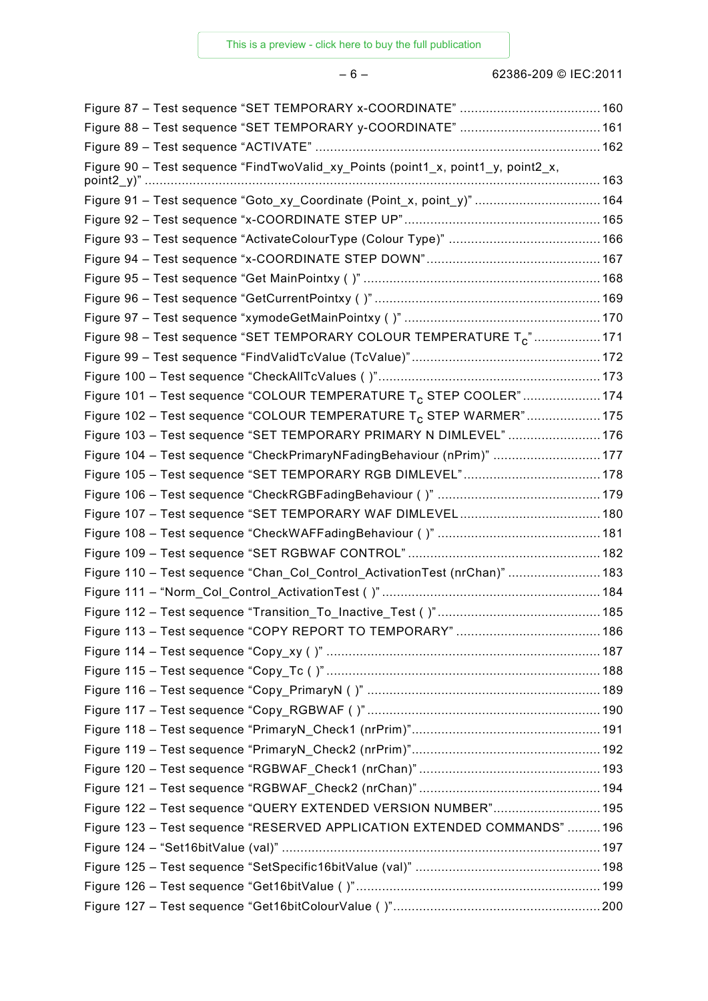– 6 – 62386-209 © IEC:2011

| Figure 90 - Test sequence "FindTwoValid_xy_Points (point1_x, point1_y, point2_x,  |  |
|-----------------------------------------------------------------------------------|--|
| Figure 91 - Test sequence "Goto_xy_Coordinate (Point_x, point_y)"  164            |  |
|                                                                                   |  |
|                                                                                   |  |
|                                                                                   |  |
|                                                                                   |  |
|                                                                                   |  |
|                                                                                   |  |
| Figure 98 - Test sequence "SET TEMPORARY COLOUR TEMPERATURE T <sub>C</sub> "  171 |  |
|                                                                                   |  |
|                                                                                   |  |
| Figure 101 - Test sequence "COLOUR TEMPERATURE T <sub>C</sub> STEP COOLER" 174    |  |
| Figure 102 - Test sequence "COLOUR TEMPERATURE T <sub>C</sub> STEP WARMER" 175    |  |
| Figure 103 - Test sequence "SET TEMPORARY PRIMARY N DIMLEVEL"  176                |  |
| Figure 104 - Test sequence "CheckPrimaryNFadingBehaviour (nPrim)"  177            |  |
|                                                                                   |  |
|                                                                                   |  |
|                                                                                   |  |
|                                                                                   |  |
|                                                                                   |  |
| Figure 110 - Test sequence "Chan_Col_Control_ActivationTest (nrChan)"  183        |  |
|                                                                                   |  |
|                                                                                   |  |
|                                                                                   |  |
|                                                                                   |  |
|                                                                                   |  |
|                                                                                   |  |
|                                                                                   |  |
|                                                                                   |  |
|                                                                                   |  |
|                                                                                   |  |
|                                                                                   |  |
| Figure 122 - Test sequence "QUERY EXTENDED VERSION NUMBER" 195                    |  |
| Figure 123 - Test sequence "RESERVED APPLICATION EXTENDED COMMANDS"  196          |  |
|                                                                                   |  |
|                                                                                   |  |
|                                                                                   |  |
|                                                                                   |  |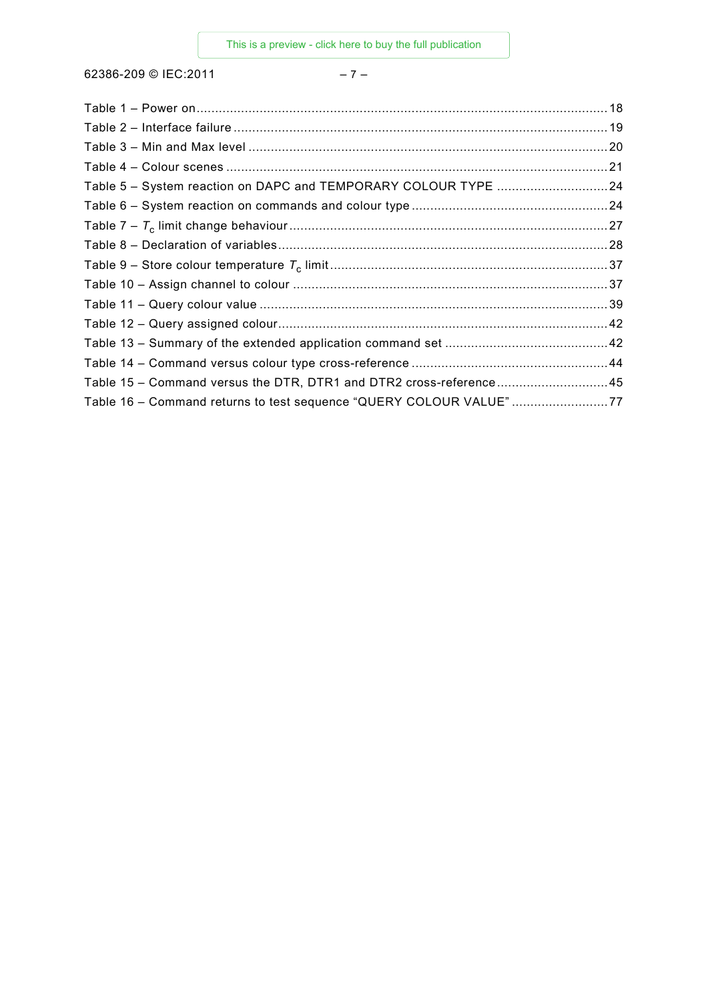62386-209 © IEC:2011 - 7 –

| Table 5 - System reaction on DAPC and TEMPORARY COLOUR TYPE 24     |  |
|--------------------------------------------------------------------|--|
|                                                                    |  |
|                                                                    |  |
|                                                                    |  |
|                                                                    |  |
|                                                                    |  |
|                                                                    |  |
|                                                                    |  |
|                                                                    |  |
|                                                                    |  |
| Table 15 - Command versus the DTR, DTR1 and DTR2 cross-reference45 |  |
| Table 16 - Command returns to test sequence "QUERY COLOUR VALUE"77 |  |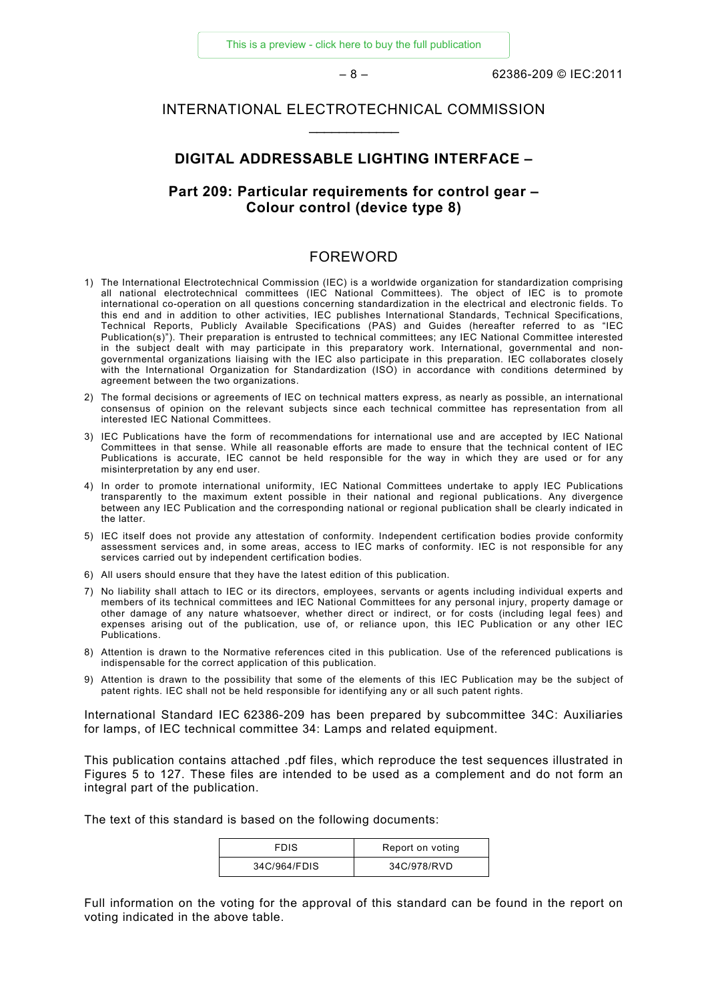[This is a preview - click here to buy the full publication](https://webstore.iec.ch/publication/6965&preview=1)

 $-8 - 8 - 62386 - 209$  © IEC:2011

# INTERNATIONAL ELECTROTECHNICAL COMMISSION \_\_\_\_\_\_\_\_\_\_\_\_

# **DIGITAL ADDRESSABLE LIGHTING INTERFACE –**

# **Part 209: Particular requirements for control gear – Colour control (device type 8)**

# FOREWORD

- 1) The International Electrotechnical Commission (IEC) is a worldwide organization for standardization comprising all national electrotechnical committees (IEC National Committees). The object of IEC is to promote international co-operation on all questions concerning standardization in the electrical and electronic fields. To this end and in addition to other activities, IEC publishes International Standards, Technical Specifications, Technical Reports, Publicly Available Specifications (PAS) and Guides (hereafter referred to as "IEC Publication(s)"). Their preparation is entrusted to technical committees; any IEC National Committee interested in the subject dealt with may participate in this preparatory work. International, governmental and nongovernmental organizations liaising with the IEC also participate in this preparation. IEC collaborates closely with the International Organization for Standardization (ISO) in accordance with conditions determined by agreement between the two organizations.
- 2) The formal decisions or agreements of IEC on technical matters express, as nearly as possible, an international consensus of opinion on the relevant subjects since each technical committee has representation from all interested IEC National Committees.
- 3) IEC Publications have the form of recommendations for international use and are accepted by IEC National Committees in that sense. While all reasonable efforts are made to ensure that the technical content of IEC Publications is accurate, IEC cannot be held responsible for the way in which they are used or for any misinterpretation by any end user.
- 4) In order to promote international uniformity, IEC National Committees undertake to apply IEC Publications transparently to the maximum extent possible in their national and regional publications. Any divergence between any IEC Publication and the corresponding national or regional publication shall be clearly indicated in the latter.
- 5) IEC itself does not provide any attestation of conformity. Independent certification bodies provide conformity assessment services and, in some areas, access to IEC marks of conformity. IEC is not responsible for any services carried out by independent certification bodies.
- 6) All users should ensure that they have the latest edition of this publication.
- 7) No liability shall attach to IEC or its directors, employees, servants or agents including individual experts and members of its technical committees and IEC National Committees for any personal injury, property damage or other damage of any nature whatsoever, whether direct or indirect, or for costs (including legal fees) and expenses arising out of the publication, use of, or reliance upon, this IEC Publication or any other IEC Publications.
- 8) Attention is drawn to the Normative references cited in this publication. Use of the referenced publications is indispensable for the correct application of this publication.
- 9) Attention is drawn to the possibility that some of the elements of this IEC Publication may be the subject of patent rights. IEC shall not be held responsible for identifying any or all such patent rights.

International Standard IEC 62386-209 has been prepared by subcommittee 34C: Auxiliaries for lamps, of IEC technical committee 34: Lamps and related equipment.

This publication contains attached .pdf files, which reproduce the test sequences illustrated in Figures 5 to 127. These files are intended to be used as a complement and do not form an integral part of the publication.

The text of this standard is based on the following documents:

| <b>FDIS</b>  | Report on voting |
|--------------|------------------|
| 34C/964/FDIS | 34C/978/RVD      |

Full information on the voting for the approval of this standard can be found in the report on voting indicated in the above table.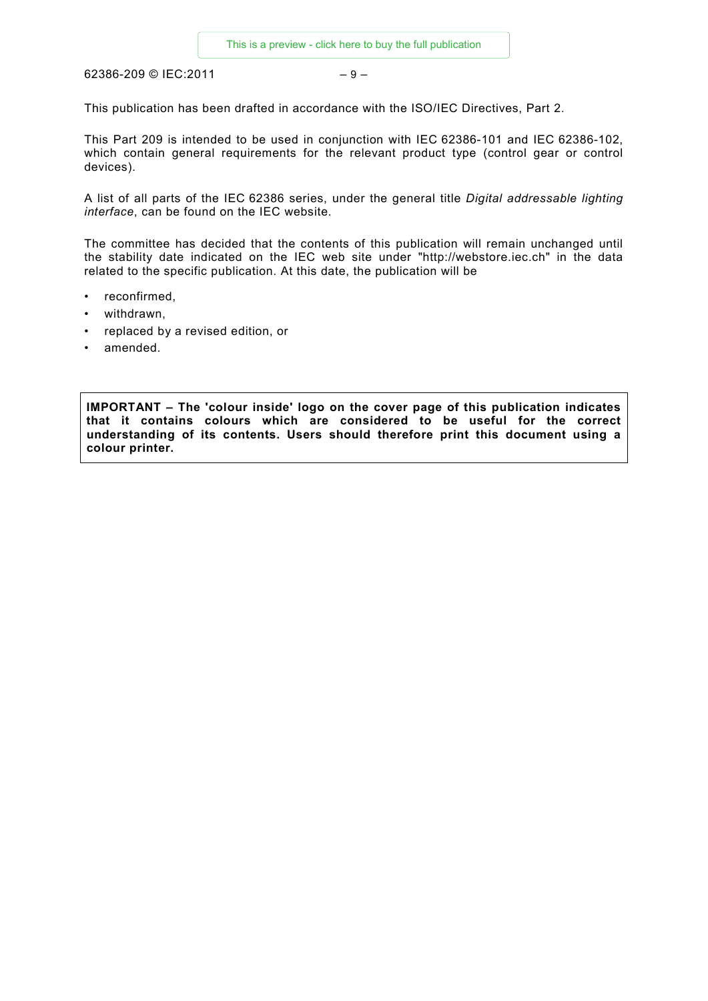$62386 - 209$  © IEC:2011 – 9 –

This publication has been drafted in accordance with the ISO/IEC Directives, Part 2.

This Part 209 is intended to be used in conjunction with IEC 62386-101 and IEC 62386-102, which contain general requirements for the relevant product type (control gear or control devices).

A list of all parts of the IEC 62386 series, under the general title *Digital addressable lighting interface*, can be found on the IEC website.

The committee has decided that the contents of this publication will remain unchanged until the stability date indicated on the IEC web site under "http://webstore.iec.ch" in the data related to the specific publication. At this date, the publication will be

- reconfirmed,
- withdrawn,
- replaced by a revised edition, or
- amended.

**IMPORTANT – The 'colour inside' logo on the cover page of this publication indicates that it contains colours which are considered to be useful for the correct understanding of its contents. Users should therefore print this document using a colour printer.**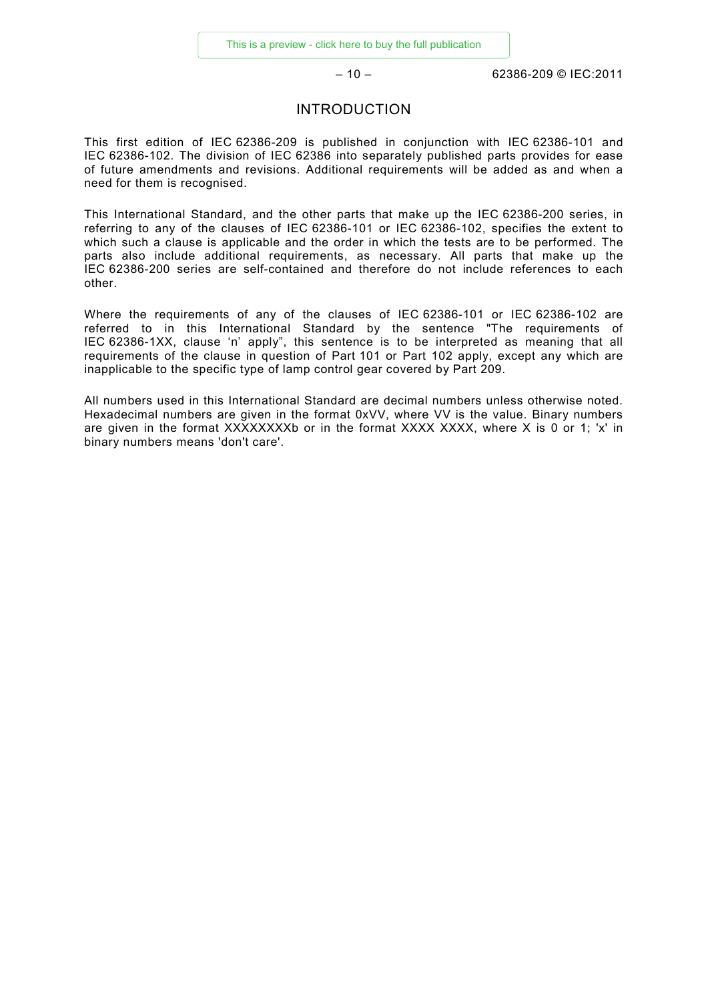$-10 - 62386 - 209$  © IFC:2011

# INTRODUCTION

This first edition of IEC 62386-209 is published in conjunction with IEC 62386-101 and IEC 62386-102. The division of IEC 62386 into separately published parts provides for ease of future amendments and revisions. Additional requirements will be added as and when a need for them is recognised.

This International Standard, and the other parts that make up the IEC 62386-200 series, in referring to any of the clauses of IEC 62386-101 or IEC 62386-102, specifies the extent to which such a clause is applicable and the order in which the tests are to be performed. The parts also include additional requirements, as necessary. All parts that make up the IEC 62386-200 series are self-contained and therefore do not include references to each other.

Where the requirements of any of the clauses of IEC 62386-101 or IEC 62386-102 are referred to in this International Standard by the sentence "The requirements of IEC 62386-1XX, clause 'n' apply", this sentence is to be interpreted as meaning that all requirements of the clause in question of Part 101 or Part 102 apply, except any which are inapplicable to the specific type of lamp control gear covered by Part 209.

All numbers used in this International Standard are decimal numbers unless otherwise noted. Hexadecimal numbers are given in the format 0xVV, where VV is the value. Binary numbers are given in the format XXXXXXXXb or in the format XXXX XXXX, where X is 0 or 1; 'x' in binary numbers means 'don't care'.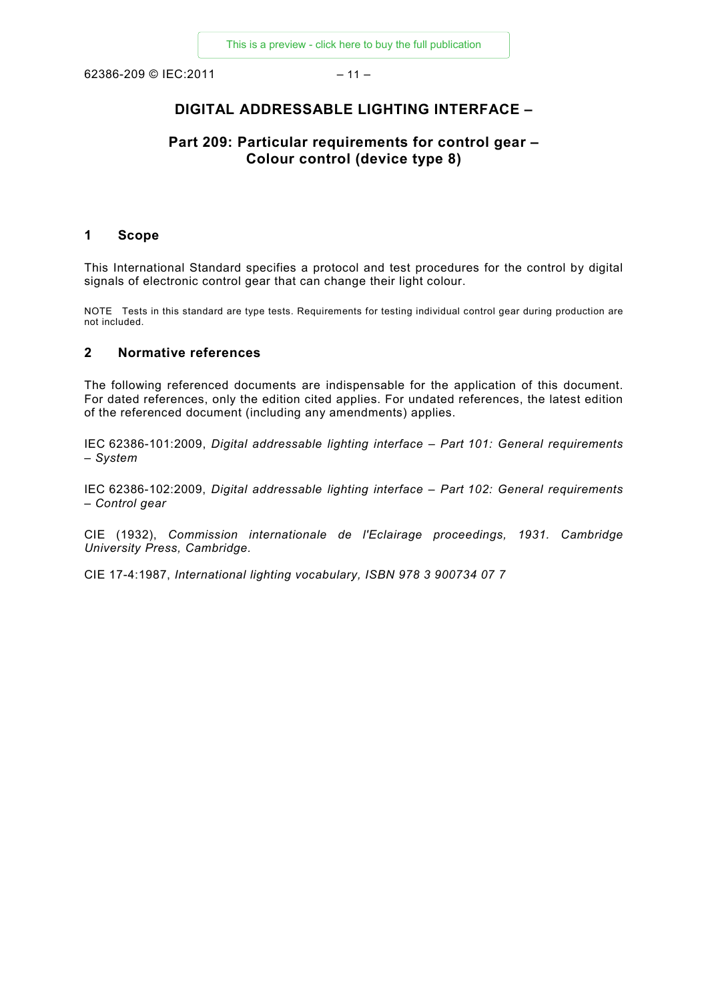$62386 - 209$  © IEC:2011 – 11 –

# **DIGITAL ADDRESSABLE LIGHTING INTERFACE –**

# **Part 209: Particular requirements for control gear – Colour control (device type 8)**

### **1 Scope**

This International Standard specifies a protocol and test procedures for the control by digital signals of electronic control gear that can change their light colour.

NOTE Tests in this standard are type tests. Requirements for testing individual control gear during production are not included.

# **2 Normative references**

The following referenced documents are indispensable for the application of this document. For dated references, only the edition cited applies. For undated references, the latest edition of the referenced document (including any amendments) applies.

IEC 62386-101:2009, *Digital addressable lighting interface – Part 101: General requirements – System*

IEC 62386-102:2009, *Digital addressable lighting interface – Part 102: General requirements – Control gear*

CIE (1932), *Commission internationale de l'Eclairage proceedings, 1931. [Cambridge](http://en.wikipedia.org/wiki/Cambridge_University_Press)  [University Press,](http://en.wikipedia.org/wiki/Cambridge_University_Press) Cambridge.*

CIE 17-4:1987, *International lighting vocabulary, ISBN 978 3 900734 07 7*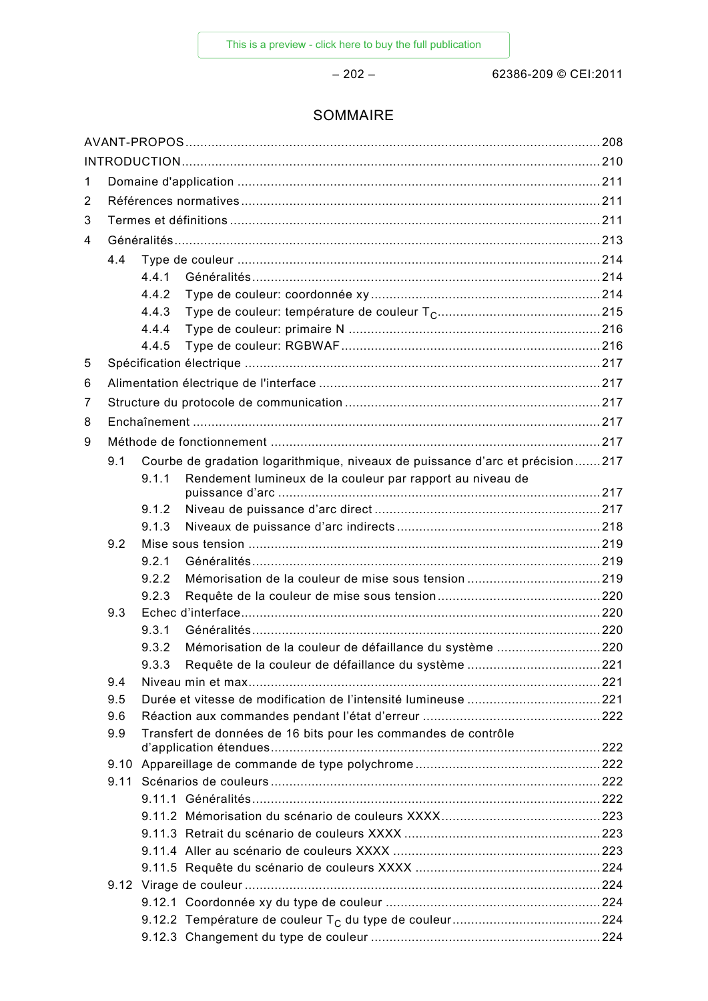– 202 – 62386-209 © CEI:2011

# SOMMAIRE

| 1 |            |       |                                                                               |  |
|---|------------|-------|-------------------------------------------------------------------------------|--|
| 2 |            |       |                                                                               |  |
| 3 |            |       |                                                                               |  |
| 4 |            |       |                                                                               |  |
|   | 4.4        |       |                                                                               |  |
|   |            | 4.4.1 |                                                                               |  |
|   |            | 4.4.2 |                                                                               |  |
|   |            | 4.4.3 |                                                                               |  |
|   |            | 4.4.4 |                                                                               |  |
|   |            | 4.4.5 |                                                                               |  |
| 5 |            |       |                                                                               |  |
| 6 |            |       |                                                                               |  |
| 7 |            |       |                                                                               |  |
| 8 |            |       |                                                                               |  |
| 9 |            |       |                                                                               |  |
|   | 9.1        |       | Courbe de gradation logarithmique, niveaux de puissance d'arc et précision217 |  |
|   |            | 9.1.1 | Rendement lumineux de la couleur par rapport au niveau de                     |  |
|   |            |       |                                                                               |  |
|   |            | 9.1.2 |                                                                               |  |
|   |            | 9.1.3 |                                                                               |  |
|   | 9.2        |       |                                                                               |  |
|   |            | 9.2.1 |                                                                               |  |
|   |            | 9.2.2 |                                                                               |  |
|   |            | 9.2.3 |                                                                               |  |
|   | 9.3        |       |                                                                               |  |
|   |            | 9.3.1 |                                                                               |  |
|   |            | 9.3.2 | Mémorisation de la couleur de défaillance du système 220                      |  |
|   |            | 9.3.3 |                                                                               |  |
|   | 9.4        |       |                                                                               |  |
|   | 9.5<br>9.6 |       |                                                                               |  |
|   | 9.9        |       | Transfert de données de 16 bits pour les commandes de contrôle                |  |
|   |            |       |                                                                               |  |
|   |            |       |                                                                               |  |
|   |            |       |                                                                               |  |
|   |            |       |                                                                               |  |
|   |            |       |                                                                               |  |
|   |            |       |                                                                               |  |
|   |            |       |                                                                               |  |
|   |            |       |                                                                               |  |
|   |            |       |                                                                               |  |
|   |            |       |                                                                               |  |
|   |            |       |                                                                               |  |
|   |            |       |                                                                               |  |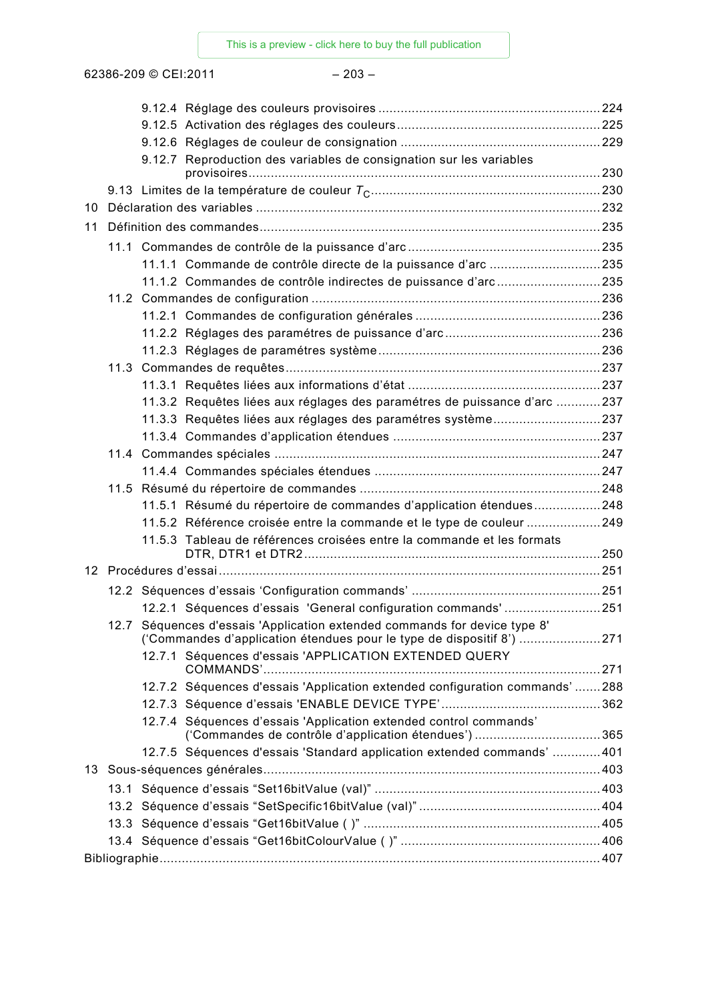62386-209 © CEI:2011 - 203 -

|    |      |  | 9.12.7 Reproduction des variables de consignation sur les variables          |  |
|----|------|--|------------------------------------------------------------------------------|--|
|    |      |  |                                                                              |  |
|    |      |  |                                                                              |  |
| 10 |      |  |                                                                              |  |
| 11 |      |  |                                                                              |  |
|    |      |  |                                                                              |  |
|    |      |  | 11.1.1 Commande de contrôle directe de la puissance d'arc 235                |  |
|    |      |  | 11.1.2 Commandes de contrôle indirectes de puissance d'arc235                |  |
|    |      |  |                                                                              |  |
|    |      |  |                                                                              |  |
|    |      |  |                                                                              |  |
|    |      |  |                                                                              |  |
|    |      |  |                                                                              |  |
|    |      |  |                                                                              |  |
|    |      |  | 11.3.2 Requêtes liées aux réglages des paramétres de puissance d'arc 237     |  |
|    |      |  | 11.3.3 Requêtes liées aux réglages des paramétres système237                 |  |
|    |      |  |                                                                              |  |
|    |      |  |                                                                              |  |
|    |      |  |                                                                              |  |
|    |      |  |                                                                              |  |
|    |      |  | 11.5.1 Résumé du répertoire de commandes d'application étendues248           |  |
|    |      |  | 11.5.2 Référence croisée entre la commande et le type de couleur 249         |  |
|    |      |  | 11.5.3 Tableau de références croisées entre la commande et les formats       |  |
|    |      |  |                                                                              |  |
|    |      |  |                                                                              |  |
|    |      |  |                                                                              |  |
|    |      |  | 12.2.1 Séquences d'essais 'General configuration commands'251                |  |
|    |      |  | 12.7 Séquences d'essais 'Application extended commands for device tvpe 8'    |  |
|    |      |  | ('Commandes d'application étendues pour le type de dispositif 8') 271        |  |
|    |      |  | 12.7.1 Séquences d'essais 'APPLICATION EXTENDED QUERY                        |  |
|    |      |  |                                                                              |  |
|    |      |  | 12.7.2 Séquences d'essais 'Application extended configuration commands'  288 |  |
|    |      |  |                                                                              |  |
|    |      |  | 12.7.4 Séquences d'essais 'Application extended control commands'            |  |
|    |      |  | 12.7.5 Séquences d'essais 'Standard application extended commands' 401       |  |
|    |      |  |                                                                              |  |
|    | 13.1 |  |                                                                              |  |
|    |      |  |                                                                              |  |
|    |      |  |                                                                              |  |
|    |      |  |                                                                              |  |
|    |      |  |                                                                              |  |
|    |      |  |                                                                              |  |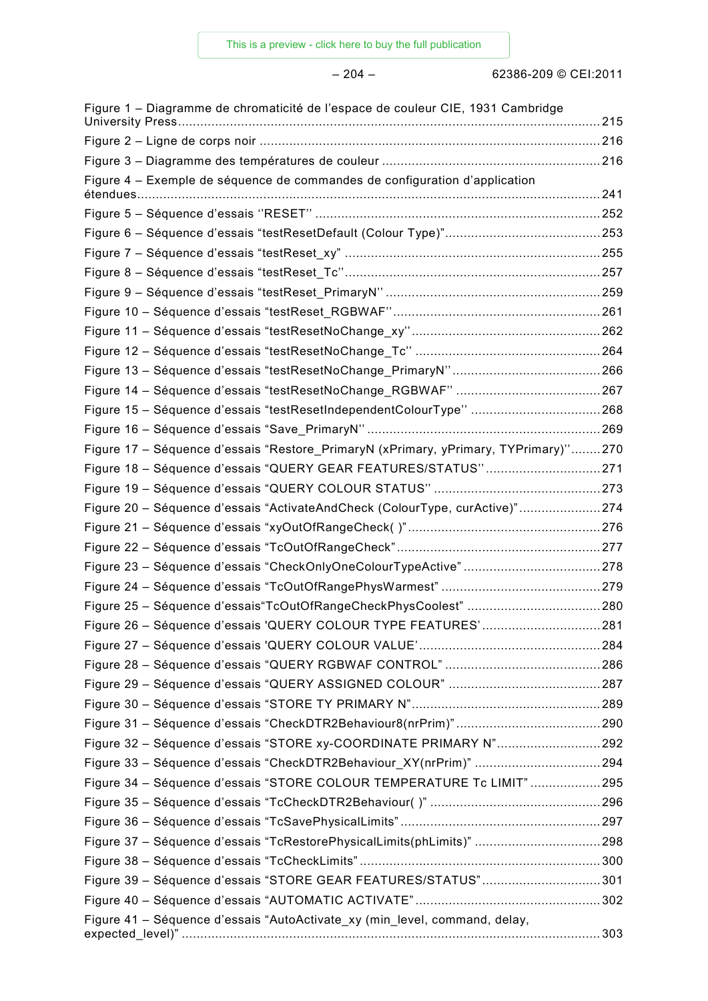# Figure 1 – Diagramme de chromaticité de l'espace de couleur CIE, 1931 Cambridge University Press.................................................................................................................. 215 Figure 2 – Ligne de corps noir ............................................................................................ 216 Figure 3 – Diagramme des températures de couleur ........................................................... 216 Figure 4 – Exemple de séquence de commandes de configuration d'application étendues............................................................................................................................. 241 Figure 5 – Séquence d'essais ''RESET'' ............................................................................. 252 Figure 6 – Séquence d'essais "testResetDefault (Colour Type)".......................................... 253 Figure 7 – Séquence d'essais "testReset\_xy" ..................................................................... 255 Figure 8 – Séquence d'essais "testReset\_Tc''..................................................................... 257 Figure 9 – Séquence d'essais "testReset\_PrimaryN'' .......................................................... 259 Figure 10 – Séquence d'essais "testReset\_RGBWAF''........................................................ 261 Figure 11 – Séquence d'essais "testResetNoChange\_xy''................................................... 262 Figure 12 – Séquence d'essais "testResetNoChange\_Tc'' .................................................. 264 Figure 13 – Séquence d'essais "testResetNoChange\_PrimaryN'' ........................................ 266 Figure 14 – Séquence d'essais "testResetNoChange\_RGBWAF'' ....................................... 267 Figure 15 – Séquence d'essais "testResetIndependentColourType'' ................................... 268 Figure 16 – Séquence d'essais "Save\_PrimaryN'' ............................................................... 269 Figure 17 – Séquence d'essais "Restore\_PrimaryN (xPrimary, yPrimary, TYPrimary)''........ 270 Figure 18 – Séquence d'essais "QUERY GEAR FEATURES/STATUS'' ............................... 271 Figure 19 – Séquence d'essais "QUERY COLOUR STATUS'' ............................................. 273 Figure 20 – Séquence d'essais "ActivateAndCheck (ColourType, curActive)"...................... 274 Figure 21 – Séquence d'essais "xyOutOfRangeCheck( )".................................................... 276 Figure 22 – Séquence d'essais "TcOutOfRangeCheck"....................................................... 277 Figure 23 – Séquence d'essais "CheckOnlyOneColourTypeActive" ..................................... 278 Figure 24 – Séquence d'essais "TcOutOfRangePhysWarmest" ........................................... 279 Figure 25 – Séquence d'essais"TcOutOfRangeCheckPhysCoolest" .................................... 280 Figure 26 – Séquence d'essais 'QUERY COLOUR TYPE FEATURES' ................................ 281 Figure 27 – Séquence d'essais 'QUERY COLOUR VALUE'................................................. 284 Figure 28 – Séquence d'essais "QUERY RGBWAF CONTROL" .......................................... 286 Figure 29 – Séquence d'essais "QUERY ASSIGNED COLOUR" ......................................... 287 Figure 30 – Séquence d'essais "STORE TY PRIMARY N"................................................... 289 Figure 31 – Séquence d'essais "CheckDTR2Behaviour8(nrPrim)" ....................................... 290 Figure 32 – Séquence d'essais "STORE xy-COORDINATE PRIMARY N"............................ 292 Figure 33 – Séquence d'essais "CheckDTR2Behaviour\_XY(nrPrim)" .................................. 294 Figure 34 – Séquence d'essais "STORE COLOUR TEMPERATURE Tc LIMIT" ................... 295 Figure 35 – Séquence d'essais "TcCheckDTR2Behaviour( )" .............................................. 296 Figure 36 – Séquence d'essais "TcSavePhysicalLimits" ...................................................... 297 Figure 37 – Séquence d'essais "TcRestorePhysicalLimits(phLimits)" .................................. 298 Figure 38 – Séquence d'essais "TcCheckLimits" ................................................................. 300 Figure 39 – Séquence d'essais "STORE GEAR FEATURES/STATUS"................................ 301 Figure 40 – Séquence d'essais "AUTOMATIC ACTIVATE" .................................................. 302 Figure 41 – Séquence d'essais "AutoActivate\_xy (min\_level, command, delay, expected\_level)" ................................................................................................................. 303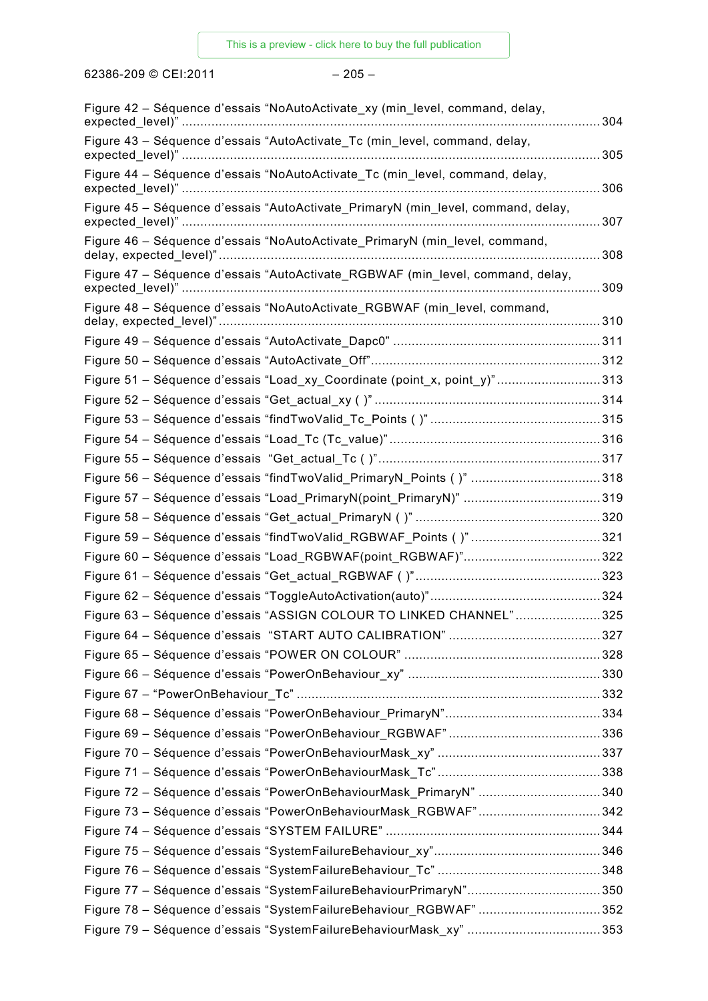62386-209 © CEI:2011 - 205 -

| Figure 42 - Séquence d'essais "NoAutoActivate_xy (min_level, command, delay,                                                             | 304  |
|------------------------------------------------------------------------------------------------------------------------------------------|------|
| Figure 43 - Séquence d'essais "AutoActivate_Tc (min_level, command, delay,                                                               | .305 |
| Figure 44 - Séquence d'essais "NoAutoActivate_Tc (min_level, command, delay,                                                             | 306  |
| Figure 45 - Séquence d'essais "AutoActivate_PrimaryN (min_level, command, delay,<br>expected_level)" …………………………………………………………………………………………… | 307  |
| Figure 46 - Séquence d'essais "NoAutoActivate PrimaryN (min level, command,                                                              | 308  |
| Figure 47 - Séquence d'essais "AutoActivate_RGBWAF (min_level, command, delay,                                                           | 309  |
| Figure 48 - Séquence d'essais "NoAutoActivate_RGBWAF (min_level, command,                                                                | 310  |
|                                                                                                                                          |      |
|                                                                                                                                          |      |
| Figure 51 - Séquence d'essais "Load_xy_Coordinate (point_x, point_y)"313                                                                 |      |
|                                                                                                                                          |      |
|                                                                                                                                          |      |
|                                                                                                                                          |      |
|                                                                                                                                          |      |
| Figure 56 - Séquence d'essais "findTwoValid_PrimaryN_Points ()" ………………………………318                                                          |      |
|                                                                                                                                          |      |
|                                                                                                                                          |      |
| Figure 59 - Séquence d'essais "findTwoValid_RGBWAF_Points ()" 321                                                                        |      |
|                                                                                                                                          |      |
|                                                                                                                                          |      |
|                                                                                                                                          |      |
| Figure 63 - Séquence d'essais "ASSIGN COLOUR TO LINKED CHANNEL"325                                                                       |      |
|                                                                                                                                          |      |
|                                                                                                                                          |      |
|                                                                                                                                          |      |
|                                                                                                                                          |      |
|                                                                                                                                          |      |
|                                                                                                                                          |      |
|                                                                                                                                          |      |
|                                                                                                                                          |      |
| Figure 72 - Séquence d'essais "PowerOnBehaviourMask_PrimaryN" 340                                                                        |      |
| Figure 73 - Séquence d'essais "PowerOnBehaviourMask_RGBWAF"342                                                                           |      |
|                                                                                                                                          |      |
|                                                                                                                                          |      |
|                                                                                                                                          |      |
| Figure 77 - Séquence d'essais "SystemFailureBehaviourPrimaryN"350                                                                        |      |
| Figure 78 - Séquence d'essais "SystemFailureBehaviour_RGBWAF"352                                                                         |      |
| Figure 79 - Séquence d'essais "SystemFailureBehaviourMask_xy" 353                                                                        |      |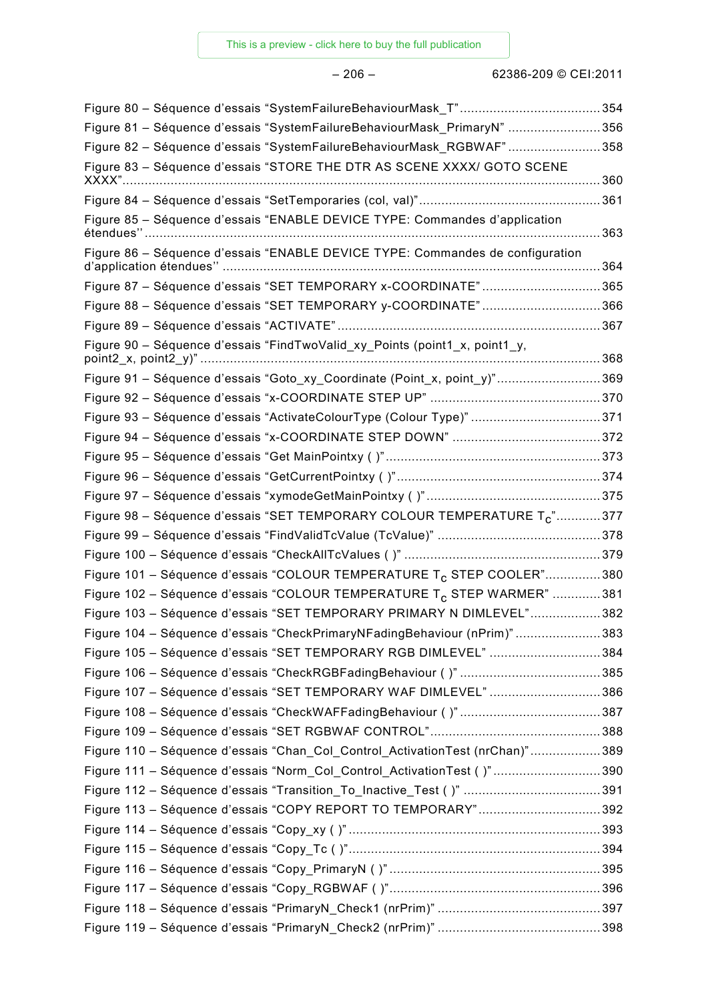| Figure 81 - Séquence d'essais "SystemFailureBehaviourMask_PrimaryN" 356             |  |
|-------------------------------------------------------------------------------------|--|
| Figure 82 - Séquence d'essais "SystemFailureBehaviourMask_RGBWAF"358                |  |
| Figure 83 - Séquence d'essais "STORE THE DTR AS SCENE XXXX/ GOTO SCENE              |  |
|                                                                                     |  |
| Figure 85 - Séquence d'essais "ENABLE DEVICE TYPE: Commandes d'application          |  |
| Figure 86 - Séquence d'essais "ENABLE DEVICE TYPE: Commandes de configuration       |  |
| Figure 87 - Séquence d'essais "SET TEMPORARY x-COORDINATE"365                       |  |
| Figure 88 - Séquence d'essais "SET TEMPORARY y-COORDINATE"366                       |  |
|                                                                                     |  |
| Figure 90 - Séquence d'essais "FindTwoValid_xy_Points (point1_x, point1_y,          |  |
| Figure 91 - Séquence d'essais "Goto_xy_Coordinate (Point_x, point_y)"369            |  |
|                                                                                     |  |
| Figure 93 - Séquence d'essais "ActivateColourType (Colour Type)" 371                |  |
|                                                                                     |  |
|                                                                                     |  |
|                                                                                     |  |
|                                                                                     |  |
| Figure 98 - Séquence d'essais "SET TEMPORARY COLOUR TEMPERATURE T <sub>C</sub> "377 |  |
|                                                                                     |  |
|                                                                                     |  |
| Figure 101 - Séquence d'essais "COLOUR TEMPERATURE T <sub>c</sub> STEP COOLER"380   |  |
| Figure 102 - Séquence d'essais "COLOUR TEMPERATURE T <sub>c</sub> STEP WARMER" 381  |  |
| Figure 103 - Séquence d'essais "SET TEMPORARY PRIMARY N DIMLEVEL"382                |  |
| Figure 104 - Séquence d'essais "CheckPrimaryNFadingBehaviour (nPrim)"383            |  |
| Figure 105 - Séquence d'essais "SET TEMPORARY RGB DIMLEVEL" 384                     |  |
|                                                                                     |  |
| Figure 107 - Séquence d'essais "SET TEMPORARY WAF DIMLEVEL" 386                     |  |
|                                                                                     |  |
|                                                                                     |  |
| Figure 110 - Séquence d'essais "Chan_Col_Control_ActivationTest (nrChan)"389        |  |
| Figure 111 - Séquence d'essais "Norm_Col_Control_ActivationTest ()"390              |  |
|                                                                                     |  |
| Figure 113 - Séquence d'essais "COPY REPORT TO TEMPORARY"392                        |  |
|                                                                                     |  |
|                                                                                     |  |
|                                                                                     |  |
|                                                                                     |  |
|                                                                                     |  |
|                                                                                     |  |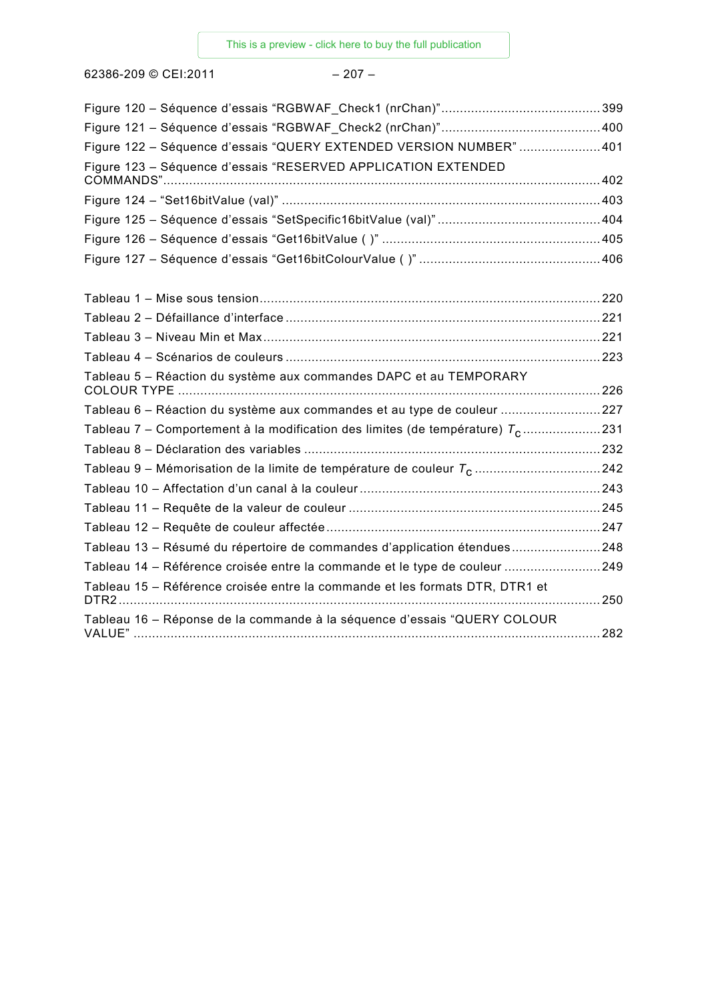62386-209 © CEI:2011 - 207 -

| Figure 122 - Séquence d'essais "QUERY EXTENDED VERSION NUMBER"401                                |      |
|--------------------------------------------------------------------------------------------------|------|
| Figure 123 - Séquence d'essais "RESERVED APPLICATION EXTENDED                                    |      |
|                                                                                                  |      |
|                                                                                                  |      |
|                                                                                                  |      |
|                                                                                                  |      |
|                                                                                                  |      |
|                                                                                                  |      |
|                                                                                                  |      |
|                                                                                                  |      |
|                                                                                                  |      |
| Tableau 5 - Réaction du système aux commandes DAPC et au TEMPORARY<br><b>COLOUR TYPE</b>         |      |
| Tableau 6 - Réaction du système aux commandes et au type de couleur 227                          |      |
|                                                                                                  |      |
|                                                                                                  |      |
|                                                                                                  |      |
|                                                                                                  |      |
|                                                                                                  |      |
|                                                                                                  |      |
| Tableau 13 – Résumé du répertoire de commandes d'application étendues248                         |      |
| Tableau 14 – Référence croisée entre la commande et le type de couleur 249                       |      |
| Tableau 15 - Référence croisée entre la commande et les formats DTR, DTR1 et<br>DTR <sub>2</sub> | 250  |
| Tableau 16 - Réponse de la commande à la séquence d'essais "QUERY COLOUR                         | .282 |
|                                                                                                  |      |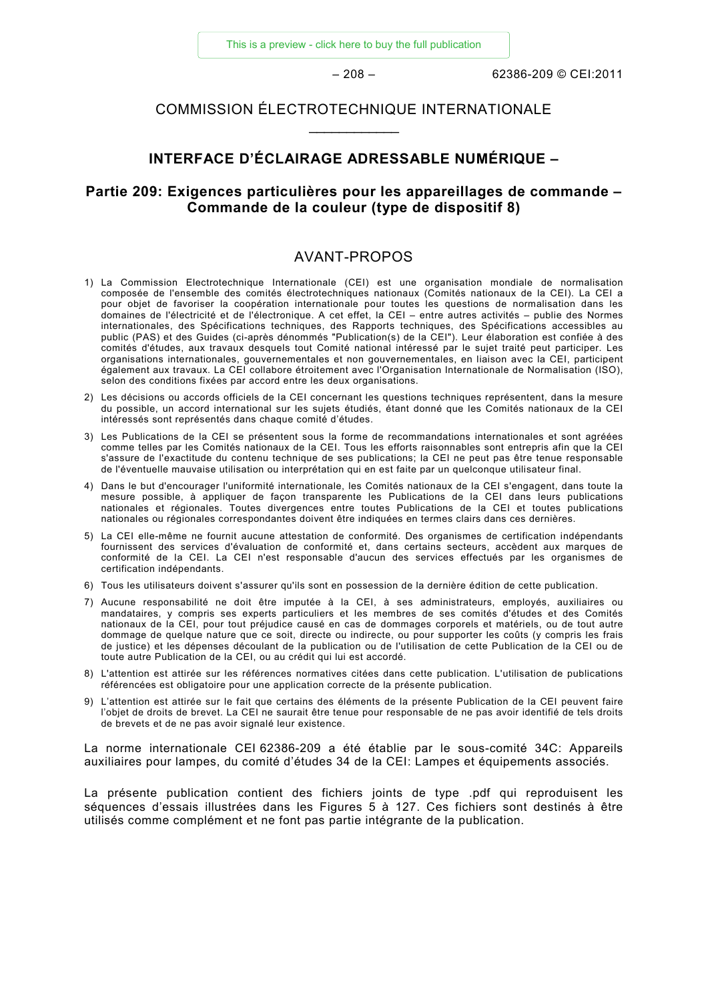# COMMISSION ÉLECTROTECHNIQUE INTERNATIONALE \_\_\_\_\_\_\_\_\_\_\_\_

# **INTERFACE D'ÉCLAIRAGE ADRESSABLE NUMÉRIQUE –**

# **Partie 209: Exigences particulières pour les appareillages de commande – Commande de la couleur (type de dispositif 8)**

## AVANT-PROPOS

- 1) La Commission Electrotechnique Internationale (CEI) est une organisation mondiale de normalisation composée de l'ensemble des comités électrotechniques nationaux (Comités nationaux de la CEI). La CEI a pour objet de favoriser la coopération internationale pour toutes les questions de normalisation dans les domaines de l'électricité et de l'électronique. A cet effet, la CEI – entre autres activités – publie des Normes internationales, des Spécifications techniques, des Rapports techniques, des Spécifications accessibles au public (PAS) et des Guides (ci-après dénommés "Publication(s) de la CEI"). Leur élaboration est confiée à des comités d'études, aux travaux desquels tout Comité national intéressé par le sujet traité peut participer. Les organisations internationales, gouvernementales et non gouvernementales, en liaison avec la CEI, participent également aux travaux. La CEI collabore étroitement avec l'Organisation Internationale de Normalisation (ISO), selon des conditions fixées par accord entre les deux organisations.
- 2) Les décisions ou accords officiels de la CEI concernant les questions techniques représentent, dans la mesure du possible, un accord international sur les sujets étudiés, étant donné que les Comités nationaux de la CEI intéressés sont représentés dans chaque comité d'études.
- 3) Les Publications de la CEI se présentent sous la forme de recommandations internationales et sont agréées comme telles par les Comités nationaux de la CEI. Tous les efforts raisonnables sont entrepris afin que la CEI s'assure de l'exactitude du contenu technique de ses publications; la CEI ne peut pas être tenue responsable de l'éventuelle mauvaise utilisation ou interprétation qui en est faite par un quelconque utilisateur final.
- 4) Dans le but d'encourager l'uniformité internationale, les Comités nationaux de la CEI s'engagent, dans toute la mesure possible, à appliquer de façon transparente les Publications de la CEI dans leurs publications nationales et régionales. Toutes divergences entre toutes Publications de la CEI et toutes publications nationales ou régionales correspondantes doivent être indiquées en termes clairs dans ces dernières.
- 5) La CEI elle-même ne fournit aucune attestation de conformité. Des organismes de certification indépendants fournissent des services d'évaluation de conformité et, dans certains secteurs, accèdent aux marques de conformité de la CEI. La CEI n'est responsable d'aucun des services effectués par les organismes de certification indépendants.
- 6) Tous les utilisateurs doivent s'assurer qu'ils sont en possession de la dernière édition de cette publication.
- 7) Aucune responsabilité ne doit être imputée à la CEI, à ses administrateurs, employés, auxiliaires ou mandataires, y compris ses experts particuliers et les membres de ses comités d'études et des Comités nationaux de la CEI, pour tout préjudice causé en cas de dommages corporels et matériels, ou de tout autre dommage de quelque nature que ce soit, directe ou indirecte, ou pour supporter les coûts (y compris les frais de justice) et les dépenses découlant de la publication ou de l'utilisation de cette Publication de la CEI ou de toute autre Publication de la CEI, ou au crédit qui lui est accordé.
- 8) L'attention est attirée sur les références normatives citées dans cette publication. L'utilisation de publications référencées est obligatoire pour une application correcte de la présente publication.
- 9) L'attention est attirée sur le fait que certains des éléments de la présente Publication de la CEI peuvent faire l'objet de droits de brevet. La CEI ne saurait être tenue pour responsable de ne pas avoir identifié de tels droits de brevets et de ne pas avoir signalé leur existence.

La norme internationale CEI 62386-209 a été établie par le sous-comité 34C: Appareils auxiliaires pour lampes, du comité d'études 34 de la CEI: Lampes et équipements associés.

La présente publication contient des fichiers joints de type .pdf qui reproduisent les séquences d'essais illustrées dans les Figures 5 à 127. Ces fichiers sont destinés à être utilisés comme complément et ne font pas partie intégrante de la publication.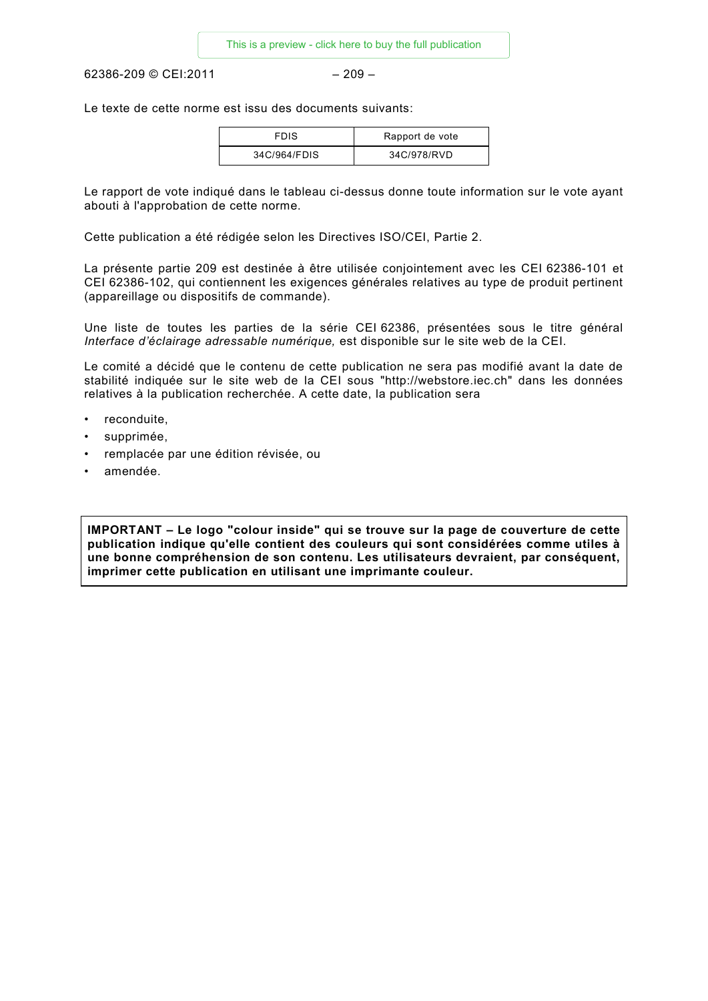$62386 - 209$  © CEI:2011 – 209 –

Le texte de cette norme est issu des documents suivants:

| <b>FDIS</b>  | Rapport de vote |
|--------------|-----------------|
| 34C/964/FDIS | 34C/978/RVD     |

Le rapport de vote indiqué dans le tableau ci-dessus donne toute information sur le vote ayant abouti à l'approbation de cette norme.

Cette publication a été rédigée selon les Directives ISO/CEI, Partie 2.

La présente partie 209 est destinée à être utilisée conjointement avec les CEI 62386-101 et CEI 62386-102, qui contiennent les exigences générales relatives au type de produit pertinent (appareillage ou dispositifs de commande).

Une liste de toutes les parties de la série CEI 62386, présentées sous le titre général *Interface d'éclairage adressable numérique,* est disponible sur le site web de la CEI.

Le comité a décidé que le contenu de cette publication ne sera pas modifié avant la date de stabilité indiquée sur le site web de la CEI sous "http://webstore.iec.ch" dans les données relatives à la publication recherchée. A cette date, la publication sera

- reconduite.
- supprimée.
- remplacée par une édition révisée, ou
- amendée.

**IMPORTANT – Le logo "colour inside" qui se trouve sur la page de couverture de cette publication indique qu'elle contient des couleurs qui sont considérées comme utiles à une bonne compréhension de son contenu. Les utilisateurs devraient, par conséquent, imprimer cette publication en utilisant une imprimante couleur.**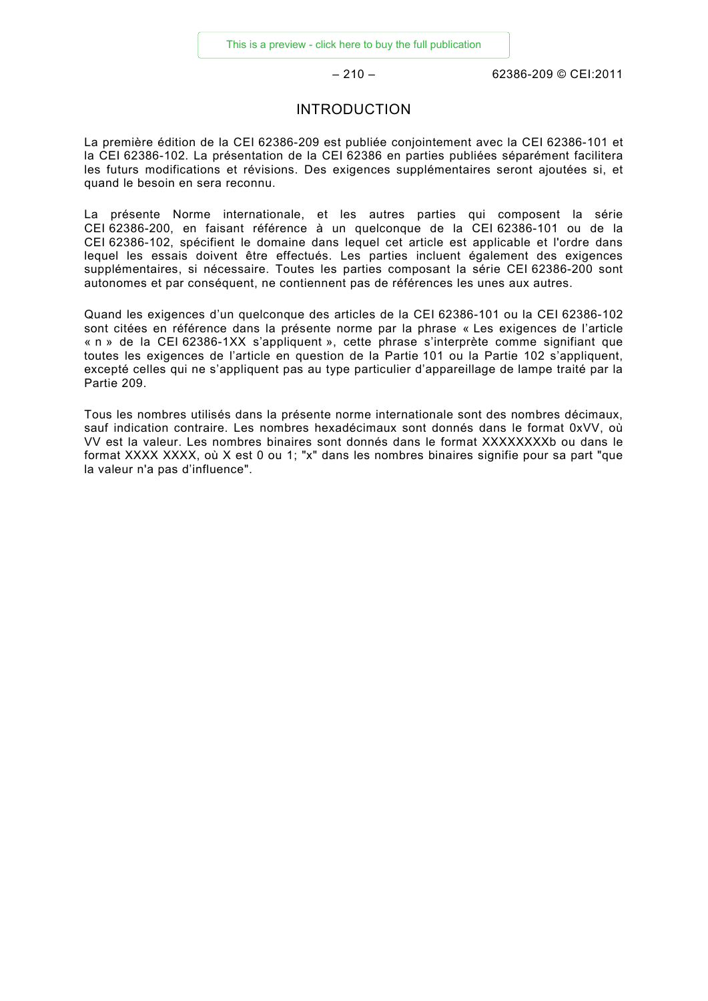$-210 - 62386 - 209$  © CEI:2011

# INTRODUCTION

La première édition de la CEI 62386-209 est publiée conjointement avec la CEI 62386-101 et la CEI 62386-102. La présentation de la CEI 62386 en parties publiées séparément facilitera les futurs modifications et révisions. Des exigences supplémentaires seront ajoutées si, et quand le besoin en sera reconnu.

La présente Norme internationale, et les autres parties qui composent la série CEI 62386-200, en faisant référence à un quelconque de la CEI 62386-101 ou de la CEI 62386-102, spécifient le domaine dans lequel cet article est applicable et l'ordre dans lequel les essais doivent être effectués. Les parties incluent également des exigences supplémentaires, si nécessaire. Toutes les parties composant la série CEI 62386-200 sont autonomes et par conséquent, ne contiennent pas de références les unes aux autres.

Quand les exigences d'un quelconque des articles de la CEI 62386-101 ou la CEI 62386-102 sont citées en référence dans la présente norme par la phrase « Les exigences de l'article « n » de la CEI 62386-1XX s'appliquent », cette phrase s'interprète comme signifiant que toutes les exigences de l'article en question de la Partie 101 ou la Partie 102 s'appliquent, excepté celles qui ne s'appliquent pas au type particulier d'appareillage de lampe traité par la Partie 209.

Tous les nombres utilisés dans la présente norme internationale sont des nombres décimaux, sauf indication contraire. Les nombres hexadécimaux sont donnés dans le format 0xVV, où VV est la valeur. Les nombres binaires sont donnés dans le format XXXXXXXXb ou dans le format XXXX XXXX, où X est 0 ou 1; "x" dans les nombres binaires signifie pour sa part "que la valeur n'a pas d'influence".